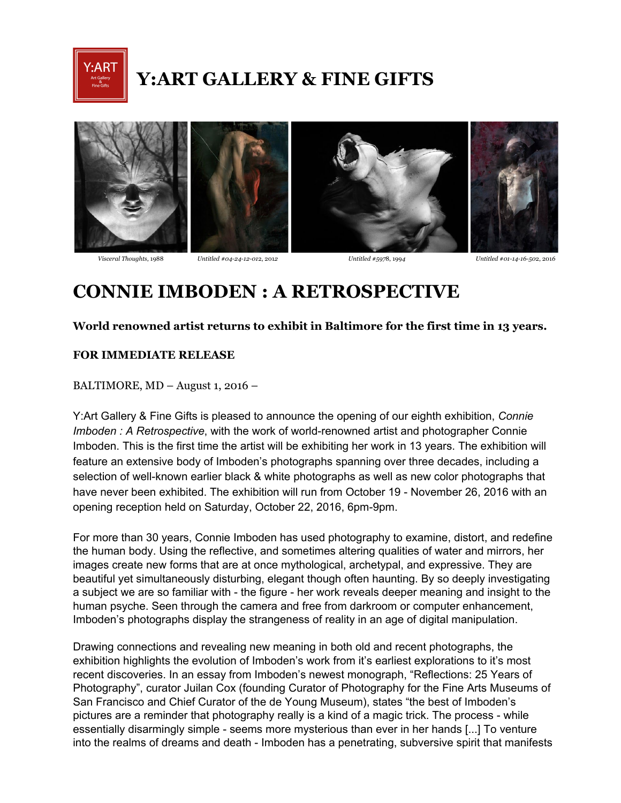

# **Y:ART GALLERY & FINE GIFTS**



 *Visceral Thoughts*, 1988 *Untitled #04241201*2, 201*2 Untitled #597*8, 199*4 Untitled #01141650*2, 201*6*

# **CONNIE IMBODEN : A RETROSPECTIVE**

## **World renowned artist returns to exhibit in Baltimore for the first time in 13 years.**

### **FOR IMMEDIATE RELEASE**

BALTIMORE, MD – August 1, 2016 –

Y:Art Gallery & Fine Gifts is pleased to announce the opening of our eighth exhibition, *Connie Imboden : A Retrospective*, with the work of world-renowned artist and photographer Connie Imboden. This is the first time the artist will be exhibiting her work in 13 years. The exhibition will feature an extensive body of Imboden's photographs spanning over three decades, including a selection of well-known earlier black & white photographs as well as new color photographs that have never been exhibited. The exhibition will run from October 19 - November 26, 2016 with an opening reception held on Saturday, October 22, 2016, 6pm-9pm.

For more than 30 years, Connie Imboden has used photography to examine, distort, and redefine the human body. Using the reflective, and sometimes altering qualities of water and mirrors, her images create new forms that are at once mythological, archetypal, and expressive. They are beautiful yet simultaneously disturbing, elegant though often haunting. By so deeply investigating a subject we are so familiar with - the figure - her work reveals deeper meaning and insight to the human psyche. Seen through the camera and free from darkroom or computer enhancement, Imboden's photographs display the strangeness of reality in an age of digital manipulation.

Drawing connections and revealing new meaning in both old and recent photographs, the exhibition highlights the evolution of Imboden's work from it's earliest explorations to it's most recent discoveries. In an essay from Imboden's newest monograph, "Reflections: 25 Years of Photography", curator Juilan Cox (founding Curator of Photography for the Fine Arts Museums of San Francisco and Chief Curator of the de Young Museum), states "the best of Imboden's pictures are a reminder that photography really is a kind of a magic trick. The process - while essentially disarmingly simple - seems more mysterious than ever in her hands [...] To venture into the realms of dreams and death Imboden has a penetrating, subversive spirit that manifests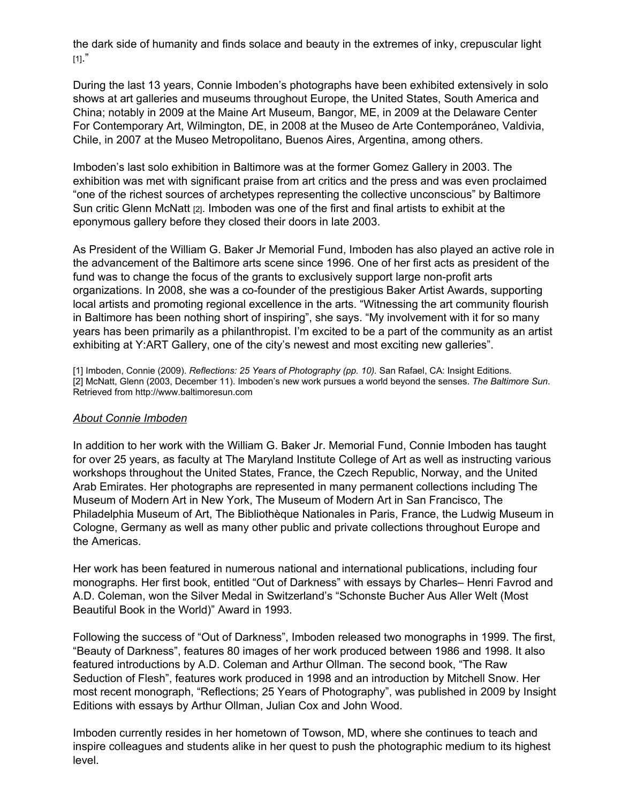the dark side of humanity and finds solace and beauty in the extremes of inky, crepuscular light  $[1]$ ."

During the last 13 years, Connie Imboden's photographs have been exhibited extensively in solo shows at art galleries and museums throughout Europe, the United States, South America and China; notably in 2009 at the Maine Art Museum, Bangor, ME, in 2009 at the Delaware Center For Contemporary Art, Wilmington, DE, in 2008 at the Museo de Arte Contemporáneo, Valdivia, Chile, in 2007 at the Museo Metropolitano, Buenos Aires, Argentina, among others.

Imboden's last solo exhibition in Baltimore was at the former Gomez Gallery in 2003. The exhibition was met with significant praise from art critics and the press and was even proclaimed "one of the richest sources of archetypes representing the collective unconscious" by Baltimore Sun critic Glenn McNatt [2]. Imboden was one of the first and final artists to exhibit at the eponymous gallery before they closed their doors in late 2003.

As President of the William G. Baker Jr Memorial Fund, Imboden has also played an active role in the advancement of the Baltimore arts scene since 1996. One of her first acts as president of the fund was to change the focus of the grants to exclusively support large non-profit arts organizations. In 2008, she was a co-founder of the prestigious Baker Artist Awards, supporting local artists and promoting regional excellence in the arts. "Witnessing the art community flourish in Baltimore has been nothing short of inspiring", she says. "My involvement with it for so many years has been primarily as a philanthropist. I'm excited to be a part of the community as an artist exhibiting at Y:ART Gallery, one of the city's newest and most exciting new galleries".

[1] Imboden, Connie (2009). *Reflections: 25 Years of Photography (pp. 10).* San Rafael, CA: Insight Editions. [2] McNatt, Glenn (2003, December 11). Imboden's new work pursues a world beyond the senses. *The Baltimore Sun*. Retrieved from http://www.baltimoresun.com

### *About Connie Imboden*

In addition to her work with the William G. Baker Jr. Memorial Fund, Connie Imboden has taught for over 25 years, as faculty at The Maryland Institute College of Art as well as instructing various workshops throughout the United States, France, the Czech Republic, Norway, and the United Arab Emirates. Her photographs are represented in many permanent collections including The Museum of Modern Art in New York, The Museum of Modern Art in San Francisco, The Philadelphia Museum of Art, The Bibliothèque Nationales in Paris, France, the Ludwig Museum in Cologne, Germany as well as many other public and private collections throughout Europe and the Americas.

Her work has been featured in numerous national and international publications, including four monographs. Her first book, entitled "Out of Darkness" with essays by Charles– Henri Favrod and A.D. Coleman, won the Silver Medal in Switzerland's "Schonste Bucher Aus Aller Welt (Most Beautiful Book in the World)" Award in 1993.

Following the success of "Out of Darkness", Imboden released two monographs in 1999. The first, "Beauty of Darkness", features 80 images of her work produced between 1986 and 1998. It also featured introductions by A.D. Coleman and Arthur Ollman. The second book, "The Raw Seduction of Flesh", features work produced in 1998 and an introduction by Mitchell Snow. Her most recent monograph, "Reflections; 25 Years of Photography", was published in 2009 by Insight Editions with essays by Arthur Ollman, Julian Cox and John Wood.

Imboden currently resides in her hometown of Towson, MD, where she continues to teach and inspire colleagues and students alike in her quest to push the photographic medium to its highest level.